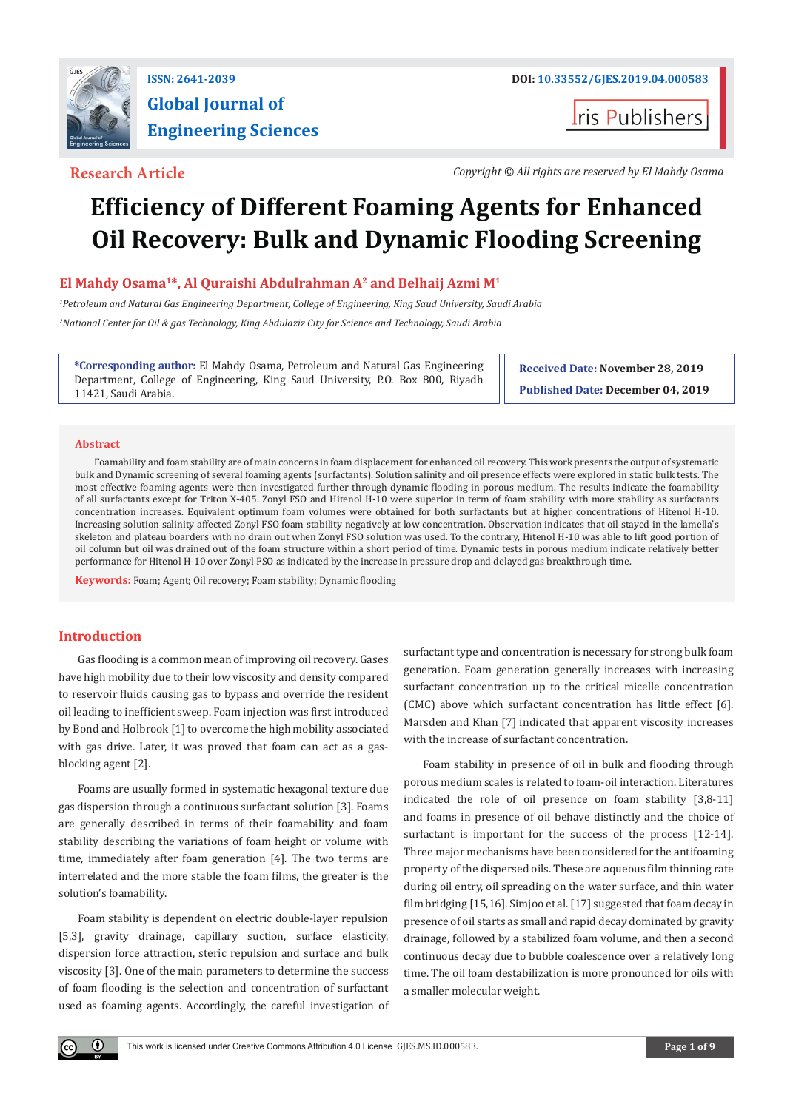

# **Global Journal of Engineering Sciences**

**I**ris Publishers

**Research Article** *Copyright © All rights are reserved by El Mahdy Osama*

## **Efficiency of Different Foaming Agents for Enhanced Oil Recovery: Bulk and Dynamic Flooding Screening**

### **El Mahdy Osama<sup>1</sup>\*, Al Quraishi Abdulrahman A<sup>2</sup> and Belhaij Azmi M<sup>1</sup>**

*1 Petroleum and Natural Gas Engineering Department, College of Engineering, King Saud University, Saudi Arabia 2 National Center for Oil & gas Technology, King Abdulaziz City for Science and Technology, Saudi Arabia*

**\*Corresponding author:** El Mahdy Osama, Petroleum and Natural Gas Engineering Department, College of Engineering, King Saud University, P.O. Box 800, Riyadh 11421, Saudi Arabia.

**Received Date: November 28, 2019 Published Date: December 04, 2019**

#### **Abstract**

Foamability and foam stability are of main concerns in foam displacement for enhanced oil recovery. This work presents the output of systematic bulk and Dynamic screening of several foaming agents (surfactants). Solution salinity and oil presence effects were explored in static bulk tests. The most effective foaming agents were then investigated further through dynamic flooding in porous medium. The results indicate the foamability of all surfactants except for Triton X-405. Zonyl FSO and Hitenol H-10 were superior in term of foam stability with more stability as surfactants concentration increases. Equivalent optimum foam volumes were obtained for both surfactants but at higher concentrations of Hitenol H-10. Increasing solution salinity affected Zonyl FSO foam stability negatively at low concentration. Observation indicates that oil stayed in the lamella's skeleton and plateau boarders with no drain out when Zonyl FSO solution was used. To the contrary, Hitenol H-10 was able to lift good portion of oil column but oil was drained out of the foam structure within a short period of time. Dynamic tests in porous medium indicate relatively better performance for Hitenol H-10 over Zonyl FSO as indicated by the increase in pressure drop and delayed gas breakthrough time.

**Keywords:** Foam; Agent; Oil recovery; Foam stability; Dynamic flooding

#### **Introduction**

 $\bf \Theta$ 

Gas flooding is a common mean of improving oil recovery. Gases have high mobility due to their low viscosity and density compared to reservoir fluids causing gas to bypass and override the resident oil leading to inefficient sweep. Foam injection was first introduced by Bond and Holbrook [1] to overcome the high mobility associated with gas drive. Later, it was proved that foam can act as a gasblocking agent [2].

Foams are usually formed in systematic hexagonal texture due gas dispersion through a continuous surfactant solution [3]. Foams are generally described in terms of their foamability and foam stability describing the variations of foam height or volume with time, immediately after foam generation [4]. The two terms are interrelated and the more stable the foam films, the greater is the solution's foamability.

Foam stability is dependent on electric double-layer repulsion [5,3], gravity drainage, capillary suction, surface elasticity, dispersion force attraction, steric repulsion and surface and bulk viscosity [3]. One of the main parameters to determine the success of foam flooding is the selection and concentration of surfactant used as foaming agents. Accordingly, the careful investigation of surfactant type and concentration is necessary for strong bulk foam generation. Foam generation generally increases with increasing surfactant concentration up to the critical micelle concentration (CMC) above which surfactant concentration has little effect [6]. Marsden and Khan [7] indicated that apparent viscosity increases with the increase of surfactant concentration.

Foam stability in presence of oil in bulk and flooding through porous medium scales is related to foam-oil interaction. Literatures indicated the role of oil presence on foam stability [3,8-11] and foams in presence of oil behave distinctly and the choice of surfactant is important for the success of the process [12-14]. Three major mechanisms have been considered for the antifoaming property of the dispersed oils. These are aqueous film thinning rate during oil entry, oil spreading on the water surface, and thin water film bridging [15,16]. Simjoo et al. [17] suggested that foam decay in presence of oil starts as small and rapid decay dominated by gravity drainage, followed by a stabilized foam volume, and then a second continuous decay due to bubble coalescence over a relatively long time. The oil foam destabilization is more pronounced for oils with a smaller molecular weight.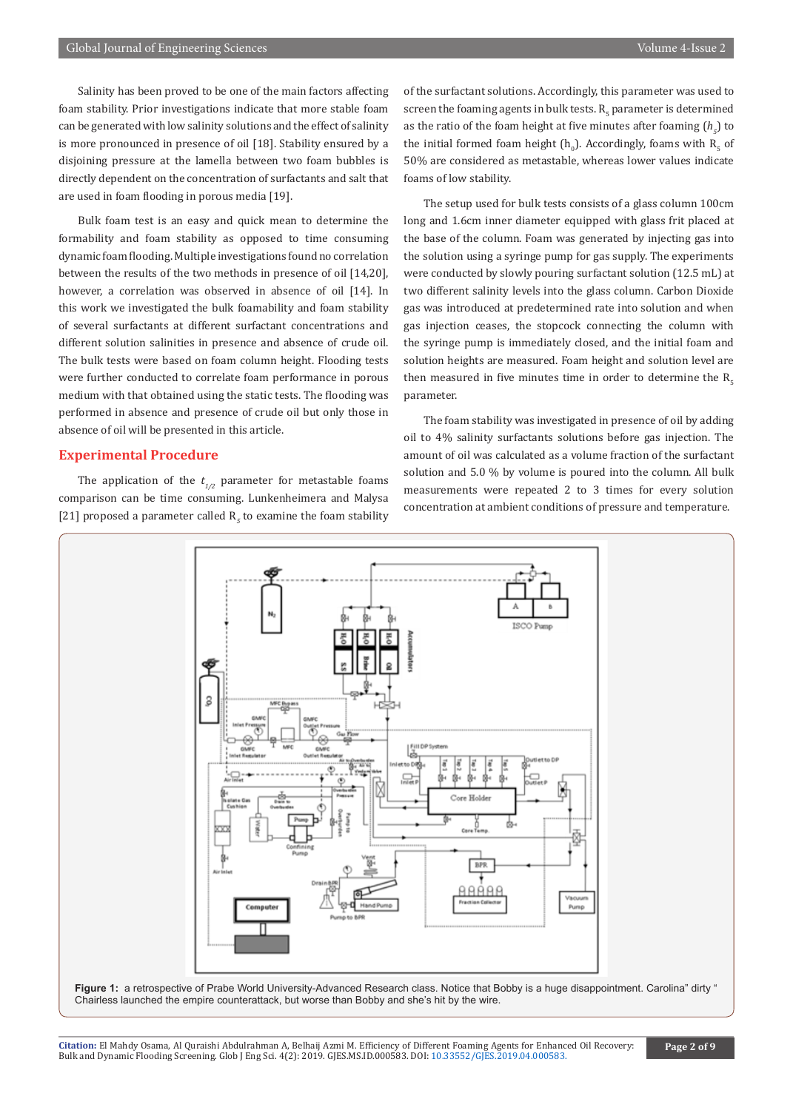Salinity has been proved to be one of the main factors affecting foam stability. Prior investigations indicate that more stable foam can be generated with low salinity solutions and the effect of salinity is more pronounced in presence of oil [18]. Stability ensured by a disjoining pressure at the lamella between two foam bubbles is directly dependent on the concentration of surfactants and salt that are used in foam flooding in porous media [19].

Bulk foam test is an easy and quick mean to determine the formability and foam stability as opposed to time consuming dynamic foam flooding. Multiple investigations found no correlation between the results of the two methods in presence of oil [14,20], however, a correlation was observed in absence of oil [14]. In this work we investigated the bulk foamability and foam stability of several surfactants at different surfactant concentrations and different solution salinities in presence and absence of crude oil. The bulk tests were based on foam column height. Flooding tests were further conducted to correlate foam performance in porous medium with that obtained using the static tests. The flooding was performed in absence and presence of crude oil but only those in absence of oil will be presented in this article.

#### **Experimental Procedure**

The application of the  $t_{1/2}$  parameter for metastable foams comparison can be time consuming. Lunkenheimera and Malysa [21] proposed a parameter called  $R_{\rm s}$  to examine the foam stability of the surfactant solutions. Accordingly, this parameter was used to screen the foaming agents in bulk tests.  $\mathsf{k}_5^{}$  parameter is determined as the ratio of the foam height at five minutes after foaming  $(h_{\overline{s}})$  to the initial formed foam height  $(n_{\scriptscriptstyle 0}^{\scriptscriptstyle 0}$ . Accordingly, foams with  $\kappa_{\scriptscriptstyle 5}^{\scriptscriptstyle 0}$  of 50% are considered as metastable, whereas lower values indicate foams of low stability.

The setup used for bulk tests consists of a glass column 100cm long and 1.6cm inner diameter equipped with glass frit placed at the base of the column. Foam was generated by injecting gas into the solution using a syringe pump for gas supply. The experiments were conducted by slowly pouring surfactant solution (12.5 mL) at two different salinity levels into the glass column. Carbon Dioxide gas was introduced at predetermined rate into solution and when gas injection ceases, the stopcock connecting the column with the syringe pump is immediately closed, and the initial foam and solution heights are measured. Foam height and solution level are then measured in five minutes time in order to determine the  $R<sub>z</sub>$ parameter.

The foam stability was investigated in presence of oil by adding oil to 4% salinity surfactants solutions before gas injection. The amount of oil was calculated as a volume fraction of the surfactant solution and 5.0 % by volume is poured into the column. All bulk measurements were repeated 2 to 3 times for every solution concentration at ambient conditions of pressure and temperature.



**Figure 1:** a retrospective of Prabe World University-Advanced Research class. Notice that Bobby is a huge disappointment. Carolina" dirty " Chairless launched the empire counterattack, but worse than Bobby and she's hit by the wire.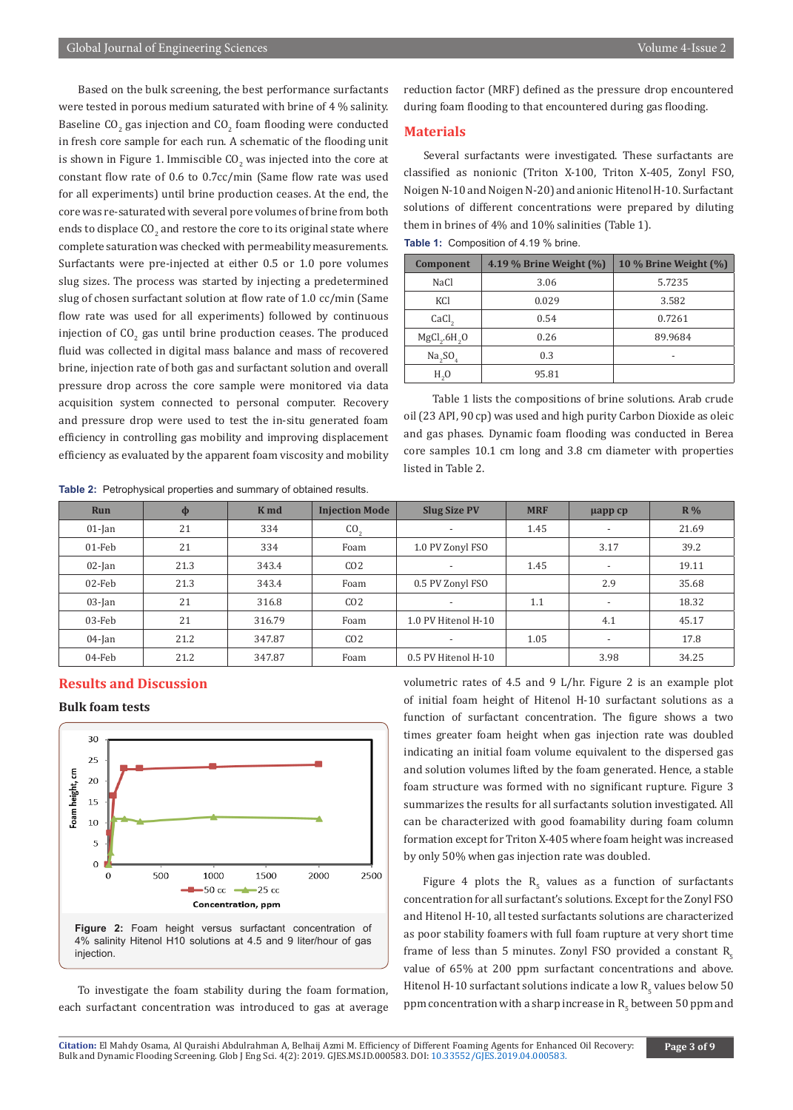Based on the bulk screening, the best performance surfactants were tested in porous medium saturated with brine of 4 % salinity. Baseline  $\mathsf{U}_{2}$  gas injection and  $\mathsf{U}_{2}$  foam flooding were conducted in fresh core sample for each run. A schematic of the flooding unit is shown in Figure 1. Immiscible  $\mathsf{U}_2$  was injected into the core at constant flow rate of 0.6 to 0.7cc/min (Same flow rate was used for all experiments) until brine production ceases. At the end, the core was re-saturated with several pore volumes of brine from both ends to displace  $\mathsf{U}_2$  and restore the core to its original state where complete saturation was checked with permeability measurements. Surfactants were pre-injected at either 0.5 or 1.0 pore volumes slug sizes. The process was started by injecting a predetermined slug of chosen surfactant solution at flow rate of 1.0 cc/min (Same flow rate was used for all experiments) followed by continuous injection of  $\mathsf{UQ}_2$  gas until brine production ceases. The produced fluid was collected in digital mass balance and mass of recovered brine, injection rate of both gas and surfactant solution and overall pressure drop across the core sample were monitored via data acquisition system connected to personal computer. Recovery and pressure drop were used to test the in-situ generated foam efficiency in controlling gas mobility and improving displacement efficiency as evaluated by the apparent foam viscosity and mobility

**Table 2:** Petrophysical properties and summary of obtained results.

reduction factor (MRF) defined as the pressure drop encountered during foam flooding to that encountered during gas flooding.

#### **Materials**

Na<sub>2</sub>SO

 $H<sub>2</sub>0$ 

Several surfactants were investigated. These surfactants are classified as nonionic (Triton X-100, Triton X-405, Zonyl FSO, Noigen N-10 and Noigen N-20) and anionic Hitenol H-10. Surfactant solutions of different concentrations were prepared by diluting them in brines of 4% and 10% salinities (Table 1). **Table 1:** Composition of 4.19 % brine.

|                   | TWATER IT COMPOSITION TO THE STRIP. |                       |  |  |
|-------------------|-------------------------------------|-----------------------|--|--|
| Component         | 4.19 $%$ Brine Weight $(\%)$        | 10 % Brine Weight (%) |  |  |
| NaCl              | 3.06                                | 5.7235                |  |  |
| KCI               | 0.029                               | 3.582                 |  |  |
| CaCl <sub>2</sub> | 0.54                                | 0.7261                |  |  |
| $MgCl_{2}6H_{2}O$ | 0.26                                | 89.9684               |  |  |
|                   |                                     |                       |  |  |

 $\mathcal{S}O_4$  0.3

95.81

 Table 1 lists the compositions of brine solutions. Arab crude oil (23 API, 90 cp) was used and high purity Carbon Dioxide as oleic and gas phases. Dynamic foam flooding was conducted in Berea core samples 10.1 cm long and 3.8 cm diameter with properties listed in Table 2.

| Run       | Φ    | K md   | <b>Injection Mode</b> | <b>Slug Size PV</b>      | <b>MRF</b> | uapp cp                  | $R\%$ |
|-----------|------|--------|-----------------------|--------------------------|------------|--------------------------|-------|
| $01$ -Jan | 21   | 334    | CO <sub>2</sub>       | $\overline{\phantom{a}}$ | 1.45       | $\overline{\phantom{a}}$ | 21.69 |
| 01-Feb    | 21   | 334    | Foam                  | 1.0 PV Zonyl FSO         |            | 3.17                     | 39.2  |
| $02$ -Jan | 21.3 | 343.4  | CO <sub>2</sub>       | $\overline{\phantom{a}}$ | 1.45       | $\overline{\phantom{a}}$ | 19.11 |
| 02-Feb    | 21.3 | 343.4  | Foam                  | 0.5 PV Zonyl FSO         |            | 2.9                      | 35.68 |
| $03$ -Jan | 21   | 316.8  | CO <sub>2</sub>       | $\overline{\phantom{a}}$ | 1.1        | $\overline{\phantom{a}}$ | 18.32 |
| 03-Feb    | 21   | 316.79 | Foam                  | 1.0 PV Hitenol H-10      |            | 4.1                      | 45.17 |
| $04$ -Jan | 21.2 | 347.87 | CO <sub>2</sub>       | $\overline{\phantom{a}}$ | 1.05       | $\overline{\phantom{a}}$ | 17.8  |
| 04-Feb    | 21.2 | 347.87 | Foam                  | 0.5 PV Hitenol H-10      |            | 3.98                     | 34.25 |

#### **Results and Discussion**

#### **Bulk foam tests**



To investigate the foam stability during the foam formation, each surfactant concentration was introduced to gas at average volumetric rates of 4.5 and 9 L/hr. Figure 2 is an example plot of initial foam height of Hitenol H-10 surfactant solutions as a function of surfactant concentration. The figure shows a two times greater foam height when gas injection rate was doubled indicating an initial foam volume equivalent to the dispersed gas and solution volumes lifted by the foam generated. Hence, a stable foam structure was formed with no significant rupture. Figure 3 summarizes the results for all surfactants solution investigated. All can be characterized with good foamability during foam column formation except for Triton X-405 where foam height was increased by only 50% when gas injection rate was doubled.

Figure 4 plots the  $R_5$  values as a function of surfactants concentration for all surfactant's solutions. Except for the Zonyl FSO and Hitenol H-10, all tested surfactants solutions are characterized as poor stability foamers with full foam rupture at very short time frame of less than 5 minutes. Zonyl FSO provided a constant  $R_5$ value of 65% at 200 ppm surfactant concentrations and above. Hitenol H-10 surfactant solutions indicate a low  $\mathrm{R}_5$  values below 50  $^{\circ}$  $ppm$  concentration with a sharp increase in  $\mathrm{R_{s}}$  between 50  $ppm$  and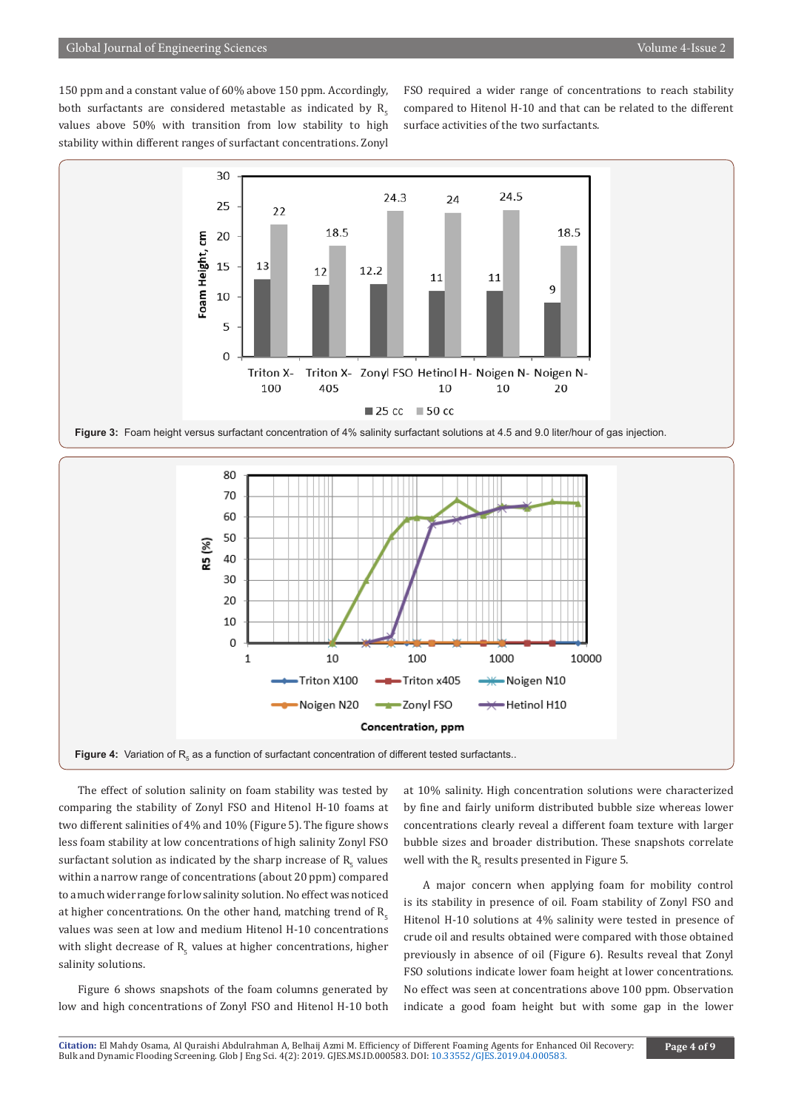150 ppm and a constant value of 60% above 150 ppm. Accordingly, both surfactants are considered metastable as indicated by  $R<sub>z</sub>$ values above 50% with transition from low stability to high stability within different ranges of surfactant concentrations. Zonyl

FSO required a wider range of concentrations to reach stability compared to Hitenol H-10 and that can be related to the different surface activities of the two surfactants.



**Figure 3:** Foam height versus surfactant concentration of 4% salinity surfactant solutions at 4.5 and 9.0 liter/hour of gas injection.



The effect of solution salinity on foam stability was tested by comparing the stability of Zonyl FSO and Hitenol H-10 foams at two different salinities of 4% and 10% (Figure 5). The figure shows less foam stability at low concentrations of high salinity Zonyl FSO surfactant solution as indicated by the sharp increase of  $\mathtt{R}_5$  values within a narrow range of concentrations (about 20 ppm) compared to a much wider range for low salinity solution. No effect was noticed at higher concentrations. On the other hand, matching trend of  $R<sub>r</sub>$ values was seen at low and medium Hitenol H-10 concentrations with slight decrease of  $\mathtt{R}_5$  values at higher concentrations, higher salinity solutions.

Figure 6 shows snapshots of the foam columns generated by low and high concentrations of Zonyl FSO and Hitenol H-10 both at 10% salinity. High concentration solutions were characterized by fine and fairly uniform distributed bubble size whereas lower concentrations clearly reveal a different foam texture with larger bubble sizes and broader distribution. These snapshots correlate well with the  $\mathsf{R}_{5}$  results presented in Figure 5.

A major concern when applying foam for mobility control is its stability in presence of oil. Foam stability of Zonyl FSO and Hitenol H-10 solutions at 4% salinity were tested in presence of crude oil and results obtained were compared with those obtained previously in absence of oil (Figure 6). Results reveal that Zonyl FSO solutions indicate lower foam height at lower concentrations. No effect was seen at concentrations above 100 ppm. Observation indicate a good foam height but with some gap in the lower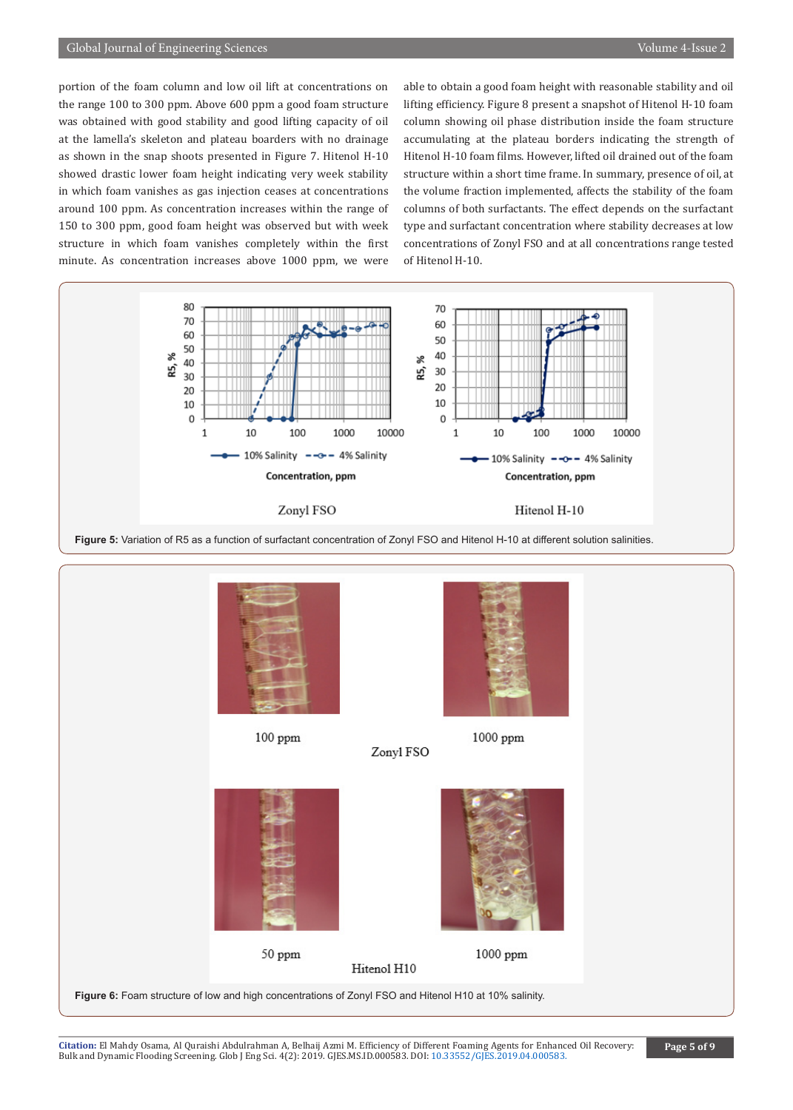portion of the foam column and low oil lift at concentrations on the range 100 to 300 ppm. Above 600 ppm a good foam structure was obtained with good stability and good lifting capacity of oil at the lamella's skeleton and plateau boarders with no drainage as shown in the snap shoots presented in Figure 7. Hitenol H-10 showed drastic lower foam height indicating very week stability in which foam vanishes as gas injection ceases at concentrations around 100 ppm. As concentration increases within the range of 150 to 300 ppm, good foam height was observed but with week structure in which foam vanishes completely within the first minute. As concentration increases above 1000 ppm, we were

able to obtain a good foam height with reasonable stability and oil lifting efficiency. Figure 8 present a snapshot of Hitenol H-10 foam column showing oil phase distribution inside the foam structure accumulating at the plateau borders indicating the strength of Hitenol H-10 foam films. However, lifted oil drained out of the foam structure within a short time frame. In summary, presence of oil, at the volume fraction implemented, affects the stability of the foam columns of both surfactants. The effect depends on the surfactant type and surfactant concentration where stability decreases at low concentrations of Zonyl FSO and at all concentrations range tested of Hitenol H-10.



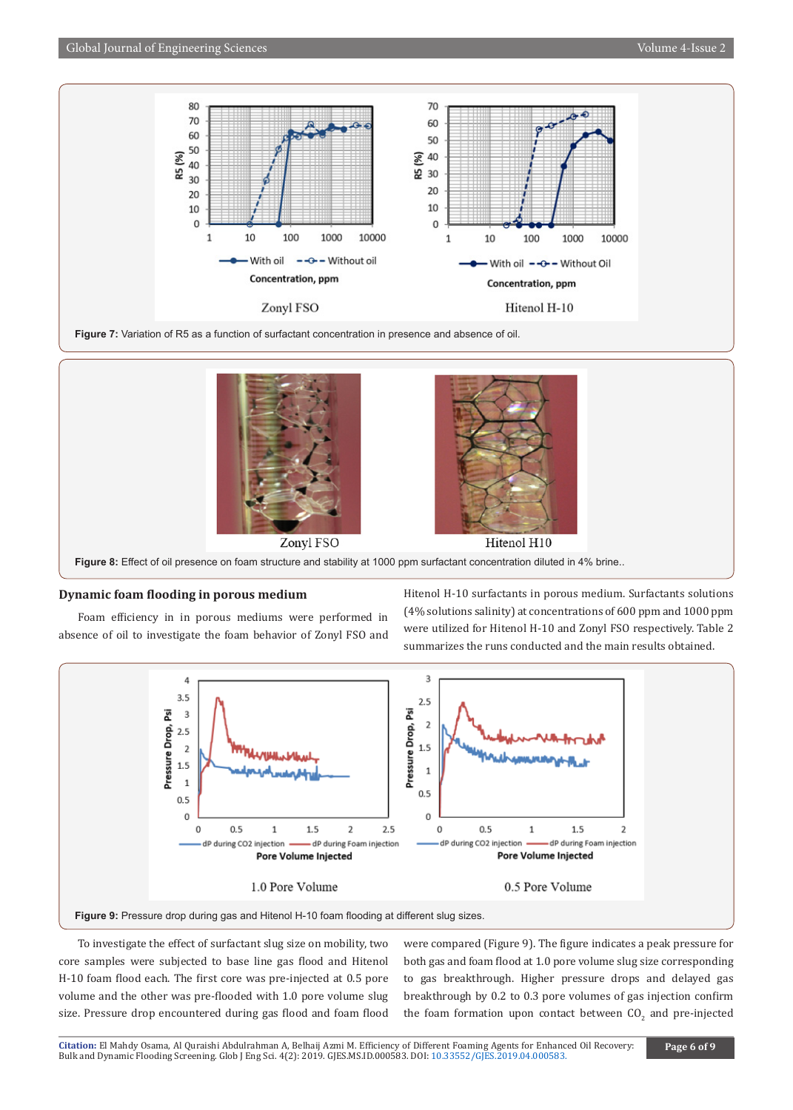

**Figure 7:** Variation of R5 as a function of surfactant concentration in presence and absence of oil.



**Figure 8:** Effect of oil presence on foam structure and stability at 1000 ppm surfactant concentration diluted in 4% brine..

#### **Dynamic foam flooding in porous medium**

Foam efficiency in in porous mediums were performed in absence of oil to investigate the foam behavior of Zonyl FSO and Hitenol H-10 surfactants in porous medium. Surfactants solutions (4% solutions salinity) at concentrations of 600 ppm and 1000 ppm were utilized for Hitenol H-10 and Zonyl FSO respectively. Table 2 summarizes the runs conducted and the main results obtained.



To investigate the effect of surfactant slug size on mobility, two core samples were subjected to base line gas flood and Hitenol H-10 foam flood each. The first core was pre-injected at 0.5 pore volume and the other was pre-flooded with 1.0 pore volume slug size. Pressure drop encountered during gas flood and foam flood were compared (Figure 9). The figure indicates a peak pressure for both gas and foam flood at 1.0 pore volume slug size corresponding to gas breakthrough. Higher pressure drops and delayed gas breakthrough by 0.2 to 0.3 pore volumes of gas injection confirm the foam formation upon contact between  $\mathsf{CO}_2$  and pre-injected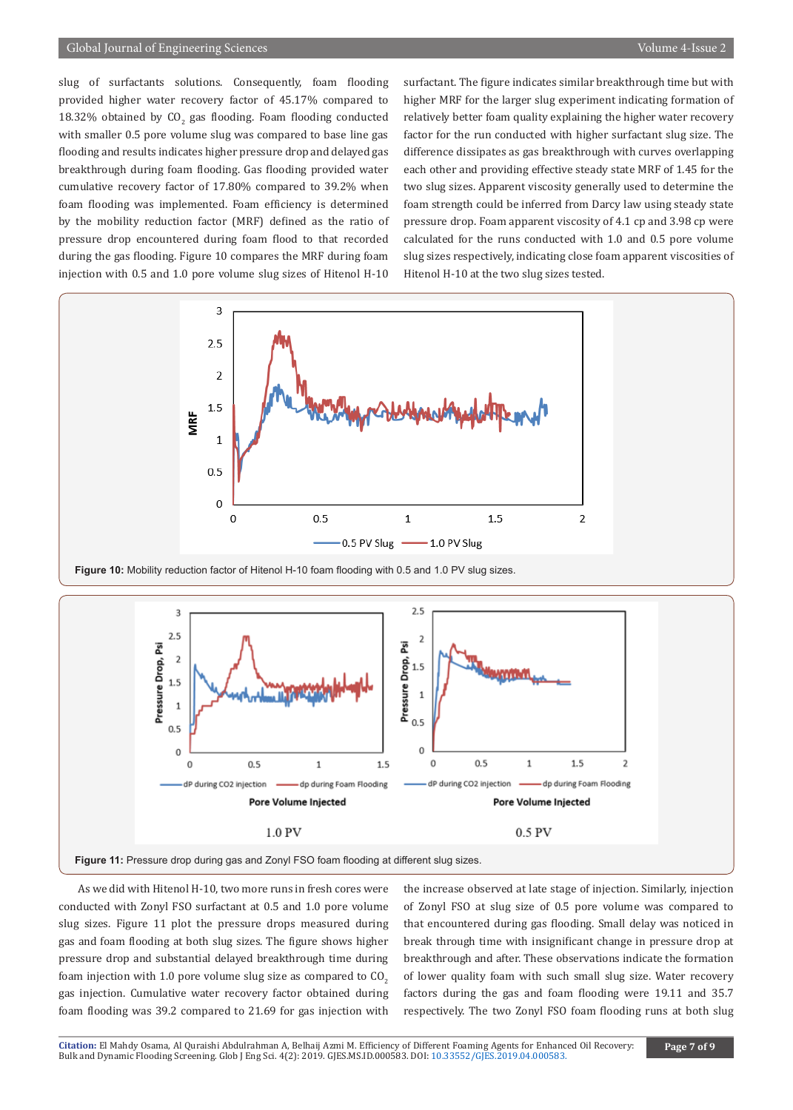slug of surfactants solutions. Consequently, foam flooding provided higher water recovery factor of 45.17% compared to 18.32% obtained by  $\mathsf{U}_2$  gas flooding. Foam flooding conducted with smaller 0.5 pore volume slug was compared to base line gas flooding and results indicates higher pressure drop and delayed gas breakthrough during foam flooding. Gas flooding provided water cumulative recovery factor of 17.80% compared to 39.2% when foam flooding was implemented. Foam efficiency is determined by the mobility reduction factor (MRF) defined as the ratio of pressure drop encountered during foam flood to that recorded during the gas flooding. Figure 10 compares the MRF during foam injection with 0.5 and 1.0 pore volume slug sizes of Hitenol H-10

surfactant. The figure indicates similar breakthrough time but with higher MRF for the larger slug experiment indicating formation of relatively better foam quality explaining the higher water recovery factor for the run conducted with higher surfactant slug size. The difference dissipates as gas breakthrough with curves overlapping each other and providing effective steady state MRF of 1.45 for the two slug sizes. Apparent viscosity generally used to determine the foam strength could be inferred from Darcy law using steady state pressure drop. Foam apparent viscosity of 4.1 cp and 3.98 cp were calculated for the runs conducted with 1.0 and 0.5 pore volume slug sizes respectively, indicating close foam apparent viscosities of Hitenol H-10 at the two slug sizes tested.







As we did with Hitenol H-10, two more runs in fresh cores were conducted with Zonyl FSO surfactant at 0.5 and 1.0 pore volume slug sizes. Figure 11 plot the pressure drops measured during gas and foam flooding at both slug sizes. The figure shows higher pressure drop and substantial delayed breakthrough time during foam injection with 1.0 pore volume slug size as compared to  $CO<sub>2</sub>$ gas injection. Cumulative water recovery factor obtained during foam flooding was 39.2 compared to 21.69 for gas injection with

the increase observed at late stage of injection. Similarly, injection of Zonyl FSO at slug size of 0.5 pore volume was compared to that encountered during gas flooding. Small delay was noticed in break through time with insignificant change in pressure drop at breakthrough and after. These observations indicate the formation of lower quality foam with such small slug size. Water recovery factors during the gas and foam flooding were 19.11 and 35.7 respectively. The two Zonyl FSO foam flooding runs at both slug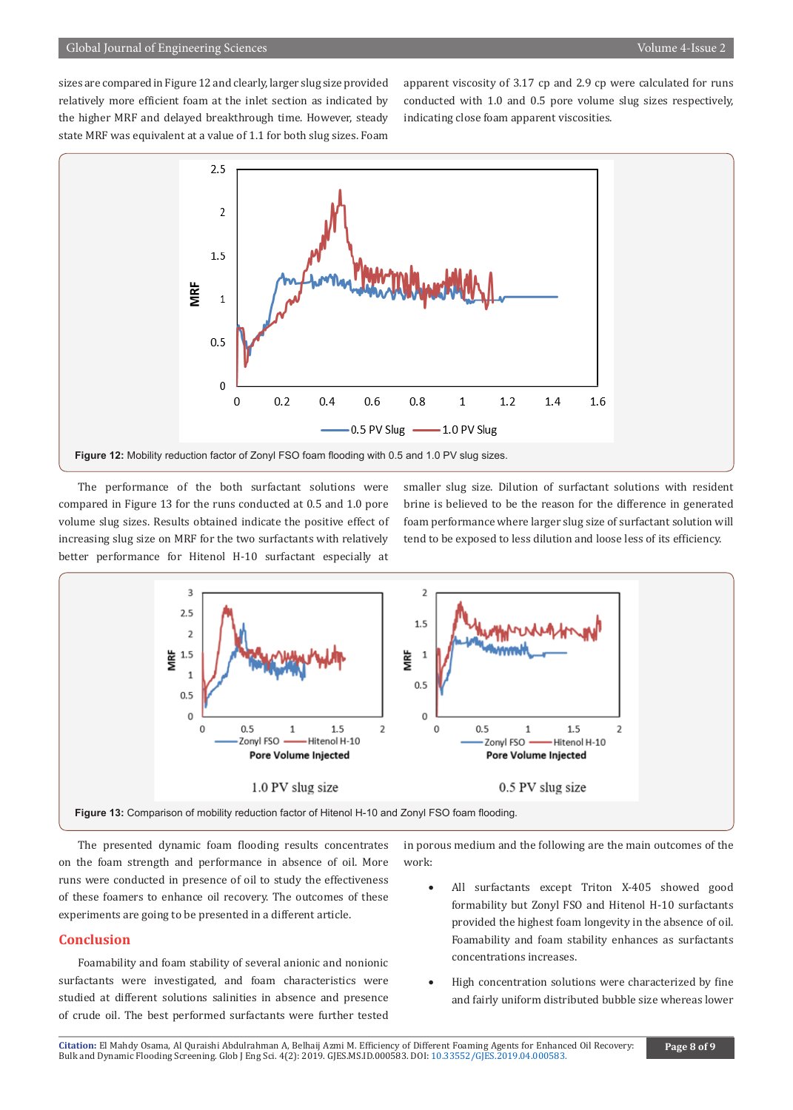sizes are compared in Figure 12 and clearly, larger slug size provided relatively more efficient foam at the inlet section as indicated by the higher MRF and delayed breakthrough time. However, steady state MRF was equivalent at a value of 1.1 for both slug sizes. Foam

apparent viscosity of 3.17 cp and 2.9 cp were calculated for runs conducted with 1.0 and 0.5 pore volume slug sizes respectively, indicating close foam apparent viscosities.



The performance of the both surfactant solutions were compared in Figure 13 for the runs conducted at 0.5 and 1.0 pore volume slug sizes. Results obtained indicate the positive effect of increasing slug size on MRF for the two surfactants with relatively better performance for Hitenol H-10 surfactant especially at

smaller slug size. Dilution of surfactant solutions with resident brine is believed to be the reason for the difference in generated foam performance where larger slug size of surfactant solution will tend to be exposed to less dilution and loose less of its efficiency.



The presented dynamic foam flooding results concentrates on the foam strength and performance in absence of oil. More runs were conducted in presence of oil to study the effectiveness of these foamers to enhance oil recovery. The outcomes of these experiments are going to be presented in a different article.

#### **Conclusion**

Foamability and foam stability of several anionic and nonionic surfactants were investigated, and foam characteristics were studied at different solutions salinities in absence and presence of crude oil. The best performed surfactants were further tested in porous medium and the following are the main outcomes of the work:

- All surfactants except Triton X-405 showed good formability but Zonyl FSO and Hitenol H-10 surfactants provided the highest foam longevity in the absence of oil. Foamability and foam stability enhances as surfactants concentrations increases.
- High concentration solutions were characterized by fine and fairly uniform distributed bubble size whereas lower